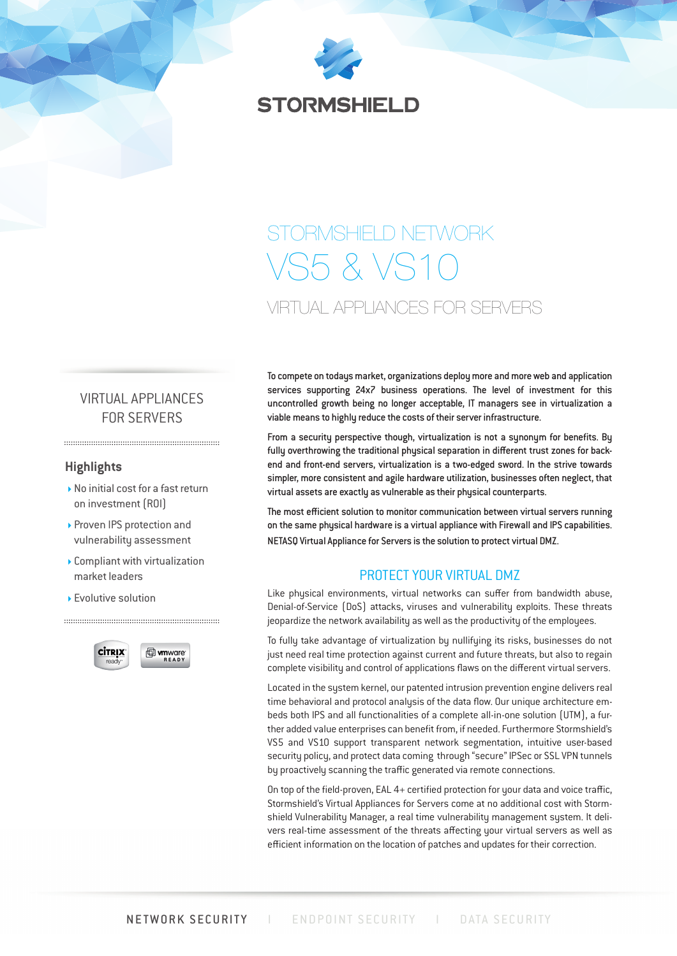

# STORMSHIELD NETWORK  $SSRVS$ VIRTUAL APPLIANCES FOR SERVERS

# VIRTUAL APPLIANCES FOR SERVERS

## **Highlights**

- ▶ No initial cost for a fast return on investment (ROI)
- ▶ Proven IPS protection and vulnerability assessment
- Compliant with virtualization market leaders
- ▶ Evolutive solution



To compete on todays market, organizations deploy more and more web and application services supporting 24x7 business operations. The level of investment for this uncontrolled growth being no longer acceptable, IT managers see in virtualization a viable means to highly reduce the costs of their server infrastructure.

From a security perspective though, virtualization is not a synonym for benefits. By fully overthrowing the traditional physical separation in different trust zones for backend and front-end servers, virtualization is a two-edged sword. In the strive towards simpler, more consistent and agile hardware utilization, businesses often neglect, that virtual assets are exactly as vulnerable as their physical counterparts.

The most efficient solution to monitor communication between virtual servers running on the same physical hardware is a virtual appliance with Firewall and IPS capabilities. NETASQ Virtual Appliance for Servers is the solution to protect virtual DMZ.

## PROTECT YOUR VIRTUAL DMZ

Like physical environments, virtual networks can suffer from bandwidth abuse, Denial-of-Service (DoS) attacks, viruses and vulnerability exploits. These threats jeopardize the network availability as well as the productivity of the employees.

To fully take advantage of virtualization by nullifying its risks, businesses do not just need real time protection against current and future threats, but also to regain complete visibility and control of applications flaws on the different virtual servers.

Located in the system kernel, our patented intrusion prevention engine delivers real time behavioral and protocol analysis of the data flow. Our unique architecture embeds both IPS and all functionalities of a complete all-in-one solution (UTM), a further added value enterprises can benefit from, if needed. Furthermore Stormshield's VS5 and VS10 support transparent network segmentation, intuitive user-based security policy, and protect data coming through "secure" IPSec or SSL VPN tunnels by proactively scanning the traffic generated via remote connections.

On top of the field-proven, EAL 4+ certified protection for your data and voice traffic, Stormshield's Virtual Appliances for Servers come at no additional cost with Stormshield Vulnerability Manager, a real time vulnerability management system. It delivers real-time assessment of the threats affecting your virtual servers as well as efficient information on the location of patches and updates for their correction.